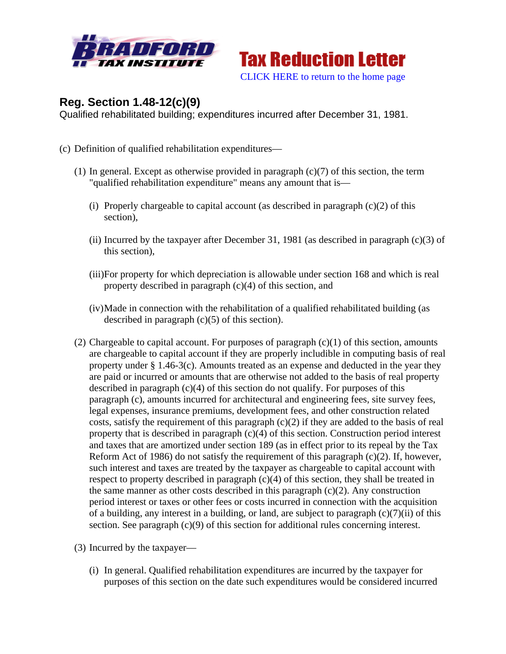



## **Reg. Section 1.48-12(c)(9)**

Qualified rehabilitated building; expenditures incurred after December 31, 1981.

- (c) Definition of qualified rehabilitation expenditures—
	- (1) In general. Except as otherwise provided in paragraph (c)(7) of this section, the term "qualified rehabilitation expenditure" means any amount that is—
		- (i) Properly chargeable to capital account (as described in paragraph  $(c)(2)$  of this section),
		- (ii) Incurred by the taxpayer after December 31, 1981 (as described in paragraph (c)(3) of this section),
		- (iii)For property for which depreciation is allowable under section 168 and which is real property described in paragraph (c)(4) of this section, and
		- (iv)Made in connection with the rehabilitation of a qualified rehabilitated building (as described in paragraph (c)(5) of this section).
	- (2) Chargeable to capital account. For purposes of paragraph  $(c)(1)$  of this section, amounts are chargeable to capital account if they are properly includible in computing basis of real property under § 1.46-3(c). Amounts treated as an expense and deducted in the year they are paid or incurred or amounts that are otherwise not added to the basis of real property described in paragraph (c)(4) of this section do not qualify. For purposes of this paragraph (c), amounts incurred for architectural and engineering fees, site survey fees, legal expenses, insurance premiums, development fees, and other construction related costs, satisfy the requirement of this paragraph  $(c)(2)$  if they are added to the basis of real property that is described in paragraph  $(c)(4)$  of this section. Construction period interest and taxes that are amortized under section 189 (as in effect prior to its repeal by the Tax Reform Act of 1986) do not satisfy the requirement of this paragraph (c)(2). If, however, such interest and taxes are treated by the taxpayer as chargeable to capital account with respect to property described in paragraph (c)(4) of this section, they shall be treated in the same manner as other costs described in this paragraph  $(c)(2)$ . Any construction period interest or taxes or other fees or costs incurred in connection with the acquisition of a building, any interest in a building, or land, are subject to paragraph  $(c)(7)(ii)$  of this section. See paragraph (c)(9) of this section for additional rules concerning interest.

(3) Incurred by the taxpayer—

(i) In general. Qualified rehabilitation expenditures are incurred by the taxpayer for purposes of this section on the date such expenditures would be considered incurred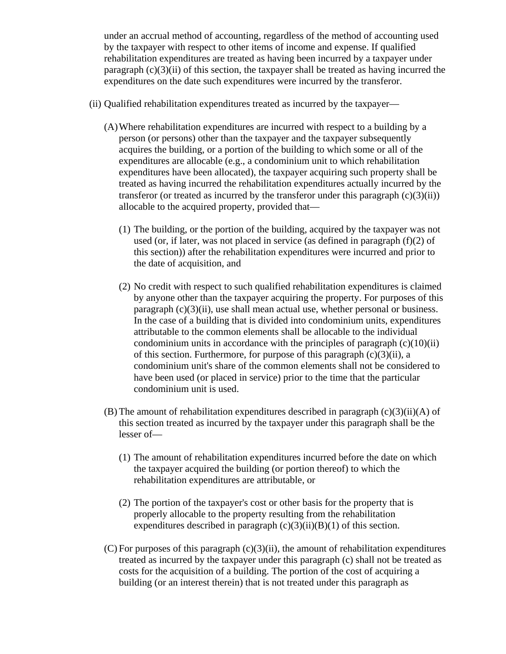under an accrual method of accounting, regardless of the method of accounting used by the taxpayer with respect to other items of income and expense. If qualified rehabilitation expenditures are treated as having been incurred by a taxpayer under paragraph  $(c)(3)(ii)$  of this section, the taxpayer shall be treated as having incurred the expenditures on the date such expenditures were incurred by the transferor.

- (ii) Qualified rehabilitation expenditures treated as incurred by the taxpayer—
	- (A)Where rehabilitation expenditures are incurred with respect to a building by a person (or persons) other than the taxpayer and the taxpayer subsequently acquires the building, or a portion of the building to which some or all of the expenditures are allocable (e.g., a condominium unit to which rehabilitation expenditures have been allocated), the taxpayer acquiring such property shall be treated as having incurred the rehabilitation expenditures actually incurred by the transferor (or treated as incurred by the transferor under this paragraph  $(c)(3)(ii)$ ) allocable to the acquired property, provided that—
		- (1) The building, or the portion of the building, acquired by the taxpayer was not used (or, if later, was not placed in service (as defined in paragraph (f)(2) of this section)) after the rehabilitation expenditures were incurred and prior to the date of acquisition, and
		- (2) No credit with respect to such qualified rehabilitation expenditures is claimed by anyone other than the taxpayer acquiring the property. For purposes of this paragraph  $(c)(3)(ii)$ , use shall mean actual use, whether personal or business. In the case of a building that is divided into condominium units, expenditures attributable to the common elements shall be allocable to the individual condominium units in accordance with the principles of paragraph  $(c)(10)(ii)$ of this section. Furthermore, for purpose of this paragraph  $(c)(3)(ii)$ , a condominium unit's share of the common elements shall not be considered to have been used (or placed in service) prior to the time that the particular condominium unit is used.
	- (B) The amount of rehabilitation expenditures described in paragraph  $(c)(3)(ii)(A)$  of this section treated as incurred by the taxpayer under this paragraph shall be the lesser of—
		- (1) The amount of rehabilitation expenditures incurred before the date on which the taxpayer acquired the building (or portion thereof) to which the rehabilitation expenditures are attributable, or
		- (2) The portion of the taxpayer's cost or other basis for the property that is properly allocable to the property resulting from the rehabilitation expenditures described in paragraph  $(c)(3)(ii)(B)(1)$  of this section.
	- $(C)$  For purposes of this paragraph  $(c)(3)(ii)$ , the amount of rehabilitation expenditures treated as incurred by the taxpayer under this paragraph (c) shall not be treated as costs for the acquisition of a building. The portion of the cost of acquiring a building (or an interest therein) that is not treated under this paragraph as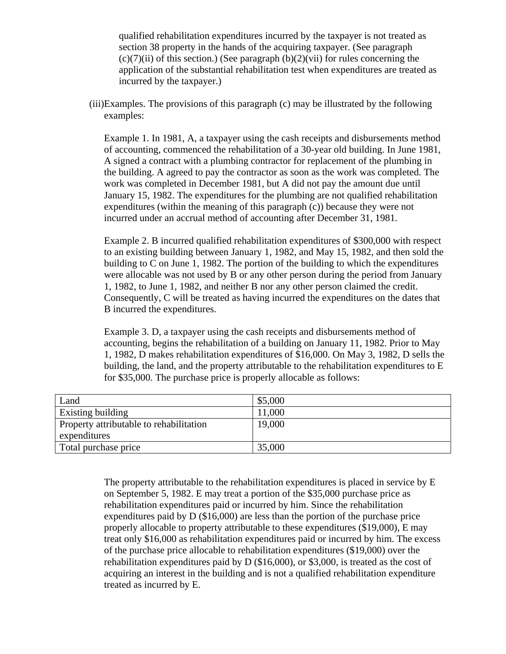qualified rehabilitation expenditures incurred by the taxpayer is not treated as section 38 property in the hands of the acquiring taxpayer. (See paragraph  $(c)(7)(ii)$  of this section.) (See paragraph  $(b)(2)(vii)$  for rules concerning the application of the substantial rehabilitation test when expenditures are treated as incurred by the taxpayer.)

(iii)Examples. The provisions of this paragraph (c) may be illustrated by the following examples:

Example 1. In 1981, A, a taxpayer using the cash receipts and disbursements method of accounting, commenced the rehabilitation of a 30-year old building. In June 1981, A signed a contract with a plumbing contractor for replacement of the plumbing in the building. A agreed to pay the contractor as soon as the work was completed. The work was completed in December 1981, but A did not pay the amount due until January 15, 1982. The expenditures for the plumbing are not qualified rehabilitation expenditures (within the meaning of this paragraph (c)) because they were not incurred under an accrual method of accounting after December 31, 1981.

Example 2. B incurred qualified rehabilitation expenditures of \$300,000 with respect to an existing building between January 1, 1982, and May 15, 1982, and then sold the building to C on June 1, 1982. The portion of the building to which the expenditures were allocable was not used by B or any other person during the period from January 1, 1982, to June 1, 1982, and neither B nor any other person claimed the credit. Consequently, C will be treated as having incurred the expenditures on the dates that B incurred the expenditures.

Example 3. D, a taxpayer using the cash receipts and disbursements method of accounting, begins the rehabilitation of a building on January 11, 1982. Prior to May 1, 1982, D makes rehabilitation expenditures of \$16,000. On May 3, 1982, D sells the building, the land, and the property attributable to the rehabilitation expenditures to E for \$35,000. The purchase price is properly allocable as follows:

| Land                                    | \$5,000 |
|-----------------------------------------|---------|
| Existing building                       | 11,000  |
| Property attributable to rehabilitation | 19,000  |
| expenditures                            |         |
| Total purchase price                    | 35,000  |

The property attributable to the rehabilitation expenditures is placed in service by E on September 5, 1982. E may treat a portion of the \$35,000 purchase price as rehabilitation expenditures paid or incurred by him. Since the rehabilitation expenditures paid by D (\$16,000) are less than the portion of the purchase price properly allocable to property attributable to these expenditures (\$19,000), E may treat only \$16,000 as rehabilitation expenditures paid or incurred by him. The excess of the purchase price allocable to rehabilitation expenditures (\$19,000) over the rehabilitation expenditures paid by D (\$16,000), or \$3,000, is treated as the cost of acquiring an interest in the building and is not a qualified rehabilitation expenditure treated as incurred by E.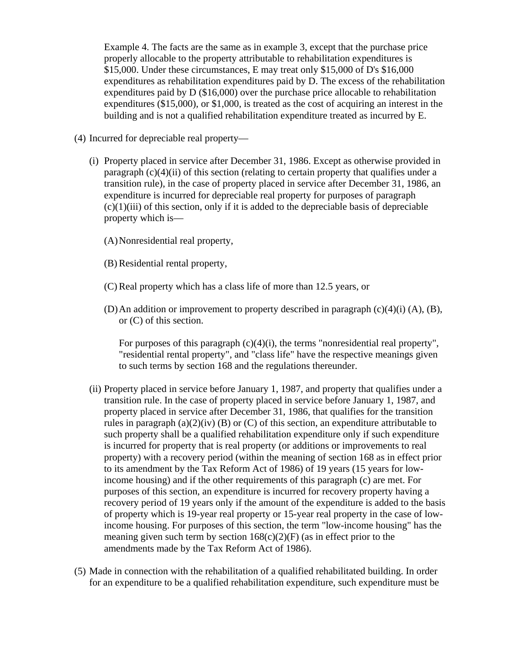Example 4. The facts are the same as in example 3, except that the purchase price properly allocable to the property attributable to rehabilitation expenditures is \$15,000. Under these circumstances, E may treat only \$15,000 of D's \$16,000 expenditures as rehabilitation expenditures paid by D. The excess of the rehabilitation expenditures paid by D (\$16,000) over the purchase price allocable to rehabilitation expenditures (\$15,000), or \$1,000, is treated as the cost of acquiring an interest in the building and is not a qualified rehabilitation expenditure treated as incurred by E.

(4) Incurred for depreciable real property—

(i) Property placed in service after December 31, 1986. Except as otherwise provided in paragraph  $(c)(4)(ii)$  of this section (relating to certain property that qualifies under a transition rule), in the case of property placed in service after December 31, 1986, an expenditure is incurred for depreciable real property for purposes of paragraph  $(c)(1)(iii)$  of this section, only if it is added to the depreciable basis of depreciable property which is—

(A)Nonresidential real property,

- (B) Residential rental property,
- (C) Real property which has a class life of more than 12.5 years, or
- (D) An addition or improvement to property described in paragraph  $(c)(4)(i)$  (A), (B), or (C) of this section.

For purposes of this paragraph  $(c)(4)(i)$ , the terms "nonresidential real property", "residential rental property", and "class life" have the respective meanings given to such terms by section 168 and the regulations thereunder.

- (ii) Property placed in service before January 1, 1987, and property that qualifies under a transition rule. In the case of property placed in service before January 1, 1987, and property placed in service after December 31, 1986, that qualifies for the transition rules in paragraph  $(a)(2)(iv)$  (B) or (C) of this section, an expenditure attributable to such property shall be a qualified rehabilitation expenditure only if such expenditure is incurred for property that is real property (or additions or improvements to real property) with a recovery period (within the meaning of section 168 as in effect prior to its amendment by the Tax Reform Act of 1986) of 19 years (15 years for lowincome housing) and if the other requirements of this paragraph (c) are met. For purposes of this section, an expenditure is incurred for recovery property having a recovery period of 19 years only if the amount of the expenditure is added to the basis of property which is 19-year real property or 15-year real property in the case of lowincome housing. For purposes of this section, the term "low-income housing" has the meaning given such term by section  $168(c)(2)(F)$  (as in effect prior to the amendments made by the Tax Reform Act of 1986).
- (5) Made in connection with the rehabilitation of a qualified rehabilitated building. In order for an expenditure to be a qualified rehabilitation expenditure, such expenditure must be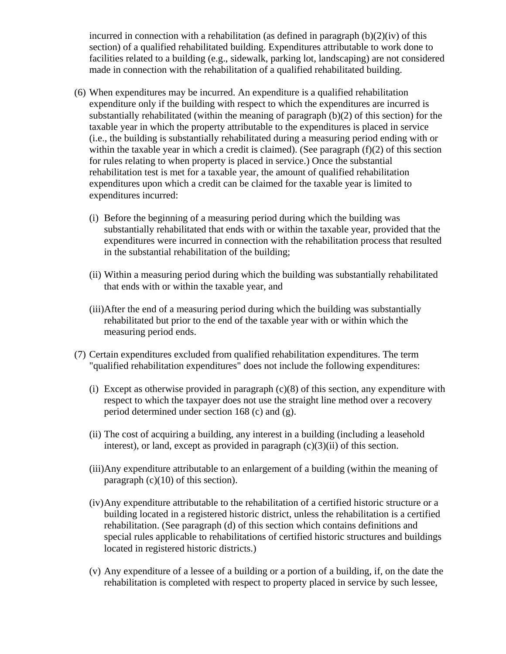incurred in connection with a rehabilitation (as defined in paragraph  $(b)(2)(iv)$  of this section) of a qualified rehabilitated building. Expenditures attributable to work done to facilities related to a building (e.g., sidewalk, parking lot, landscaping) are not considered made in connection with the rehabilitation of a qualified rehabilitated building.

- (6) When expenditures may be incurred. An expenditure is a qualified rehabilitation expenditure only if the building with respect to which the expenditures are incurred is substantially rehabilitated (within the meaning of paragraph  $(b)(2)$  of this section) for the taxable year in which the property attributable to the expenditures is placed in service (i.e., the building is substantially rehabilitated during a measuring period ending with or within the taxable year in which a credit is claimed). (See paragraph  $(f)(2)$  of this section for rules relating to when property is placed in service.) Once the substantial rehabilitation test is met for a taxable year, the amount of qualified rehabilitation expenditures upon which a credit can be claimed for the taxable year is limited to expenditures incurred:
	- (i) Before the beginning of a measuring period during which the building was substantially rehabilitated that ends with or within the taxable year, provided that the expenditures were incurred in connection with the rehabilitation process that resulted in the substantial rehabilitation of the building;
	- (ii) Within a measuring period during which the building was substantially rehabilitated that ends with or within the taxable year, and
	- (iii)After the end of a measuring period during which the building was substantially rehabilitated but prior to the end of the taxable year with or within which the measuring period ends.
- (7) Certain expenditures excluded from qualified rehabilitation expenditures. The term "qualified rehabilitation expenditures" does not include the following expenditures:
	- (i) Except as otherwise provided in paragraph  $(c)(8)$  of this section, any expenditure with respect to which the taxpayer does not use the straight line method over a recovery period determined under section 168 (c) and (g).
	- (ii) The cost of acquiring a building, any interest in a building (including a leasehold interest), or land, except as provided in paragraph  $(c)(3)(ii)$  of this section.
	- (iii)Any expenditure attributable to an enlargement of a building (within the meaning of paragraph  $(c)(10)$  of this section).
	- (iv)Any expenditure attributable to the rehabilitation of a certified historic structure or a building located in a registered historic district, unless the rehabilitation is a certified rehabilitation. (See paragraph (d) of this section which contains definitions and special rules applicable to rehabilitations of certified historic structures and buildings located in registered historic districts.)
	- (v) Any expenditure of a lessee of a building or a portion of a building, if, on the date the rehabilitation is completed with respect to property placed in service by such lessee,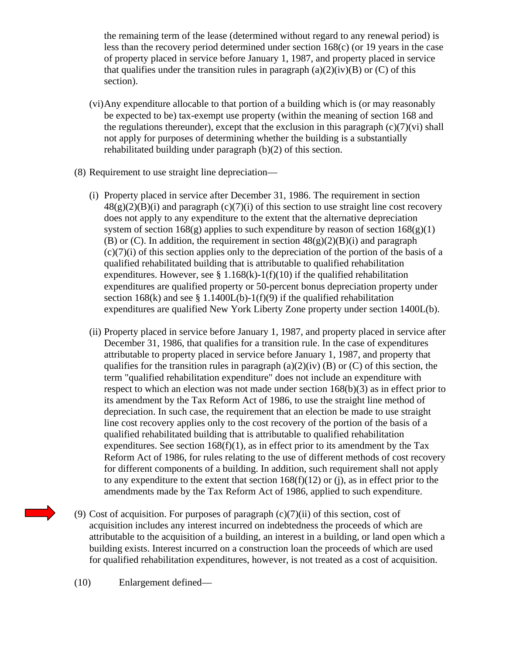the remaining term of the lease (determined without regard to any renewal period) is less than the recovery period determined under section 168(c) (or 19 years in the case of property placed in service before January 1, 1987, and property placed in service that qualifies under the transition rules in paragraph  $(a)(2)(iv)(B)$  or  $(C)$  of this section).

- (vi)Any expenditure allocable to that portion of a building which is (or may reasonably be expected to be) tax-exempt use property (within the meaning of section 168 and the regulations thereunder), except that the exclusion in this paragraph  $(c)(7)(vi)$  shall not apply for purposes of determining whether the building is a substantially rehabilitated building under paragraph (b)(2) of this section.
- (8) Requirement to use straight line depreciation—
	- (i) Property placed in service after December 31, 1986. The requirement in section  $48(g)(2)(B)(i)$  and paragraph  $(c)(7)(i)$  of this section to use straight line cost recovery does not apply to any expenditure to the extent that the alternative depreciation system of section  $168(g)$  applies to such expenditure by reason of section  $168(g)(1)$ (B) or (C). In addition, the requirement in section  $48(g)(2)(B)(i)$  and paragraph  $(c)(7)(i)$  of this section applies only to the depreciation of the portion of the basis of a qualified rehabilitated building that is attributable to qualified rehabilitation expenditures. However, see § 1.168 $(k)$ -1(f)(10) if the qualified rehabilitation expenditures are qualified property or 50-percent bonus depreciation property under section 168(k) and see § 1.1400L(b)-1(f)(9) if the qualified rehabilitation expenditures are qualified New York Liberty Zone property under section 1400L(b).
	- (ii) Property placed in service before January 1, 1987, and property placed in service after December 31, 1986, that qualifies for a transition rule. In the case of expenditures attributable to property placed in service before January 1, 1987, and property that qualifies for the transition rules in paragraph (a)(2)(iv) (B) or (C) of this section, the term "qualified rehabilitation expenditure" does not include an expenditure with respect to which an election was not made under section 168(b)(3) as in effect prior to its amendment by the Tax Reform Act of 1986, to use the straight line method of depreciation. In such case, the requirement that an election be made to use straight line cost recovery applies only to the cost recovery of the portion of the basis of a qualified rehabilitated building that is attributable to qualified rehabilitation expenditures. See section  $168(f)(1)$ , as in effect prior to its amendment by the Tax Reform Act of 1986, for rules relating to the use of different methods of cost recovery for different components of a building. In addition, such requirement shall not apply to any expenditure to the extent that section  $168(f)(12)$  or (j), as in effect prior to the amendments made by the Tax Reform Act of 1986, applied to such expenditure.
- (9) Cost of acquisition. For purposes of paragraph (c)(7)(ii) of this section, cost of acquisition includes any interest incurred on indebtedness the proceeds of which are attributable to the acquisition of a building, an interest in a building, or land open which a building exists. Interest incurred on a construction loan the proceeds of which are used for qualified rehabilitation expenditures, however, is not treated as a cost of acquisition.

(10) Enlargement defined—